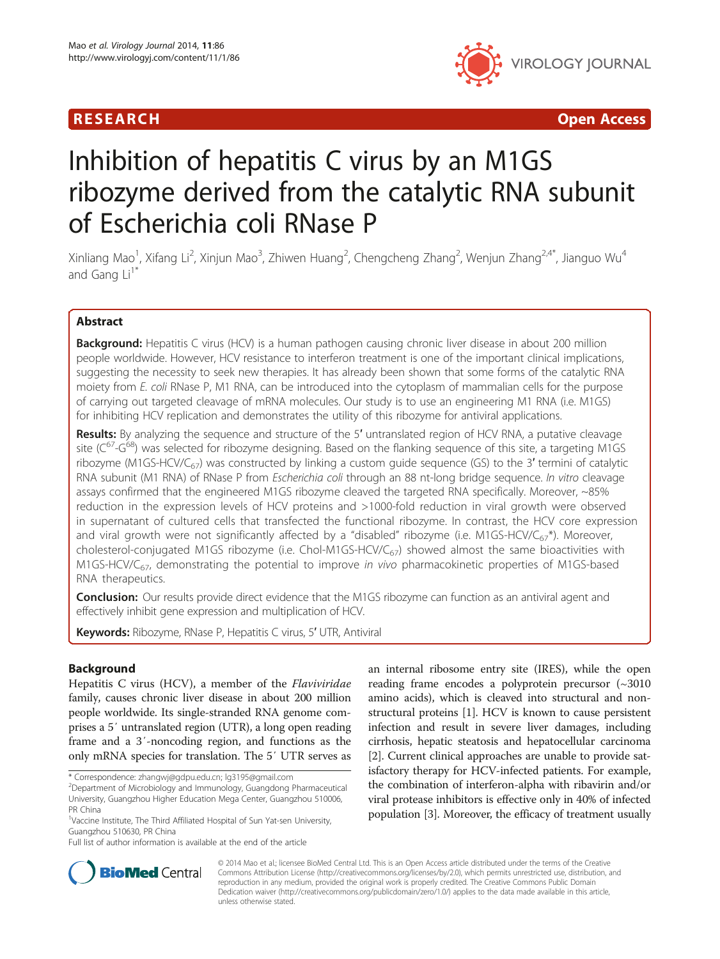

R E S EAR CH Open Access

# Inhibition of hepatitis C virus by an M1GS ribozyme derived from the catalytic RNA subunit of Escherichia coli RNase P

Xinliang Mao<sup>1</sup>, Xifang Li<sup>2</sup>, Xinjun Mao<sup>3</sup>, Zhiwen Huang<sup>2</sup>, Chengcheng Zhang<sup>2</sup>, Wenjun Zhang<sup>2,4\*</sup>, Jianguo Wu<sup>4</sup> and Gang  $Li<sup>1*</sup>$ 

# Abstract

**Background:** Hepatitis C virus (HCV) is a human pathogen causing chronic liver disease in about 200 million people worldwide. However, HCV resistance to interferon treatment is one of the important clinical implications, suggesting the necessity to seek new therapies. It has already been shown that some forms of the catalytic RNA moiety from E. coli RNase P, M1 RNA, can be introduced into the cytoplasm of mammalian cells for the purpose of carrying out targeted cleavage of mRNA molecules. Our study is to use an engineering M1 RNA (i.e. M1GS) for inhibiting HCV replication and demonstrates the utility of this ribozyme for antiviral applications.

Results: By analyzing the sequence and structure of the 5' untranslated region of HCV RNA, a putative cleavage site ( $C^{67}$ -G<sup>68</sup>) was selected for ribozyme designing. Based on the flanking sequence of this site, a targeting M1GS ribozyme (M1GS-HCV/C $_{67}$ ) was constructed by linking a custom guide sequence (GS) to the 3' termini of catalytic RNA subunit (M1 RNA) of RNase P from Escherichia coli through an 88 nt-long bridge sequence. In vitro cleavage assays confirmed that the engineered M1GS ribozyme cleaved the targeted RNA specifically. Moreover, ~85% reduction in the expression levels of HCV proteins and >1000-fold reduction in viral growth were observed in supernatant of cultured cells that transfected the functional ribozyme. In contrast, the HCV core expression and viral growth were not significantly affected by a "disabled" ribozyme (i.e. M1GS-HCV/C<sub>67</sub>\*). Moreover, cholesterol-conjugated M1GS ribozyme (i.e. Chol-M1GS-HCV/C<sub>67</sub>) showed almost the same bioactivities with M1GS-HCV/C $_{67}$ , demonstrating the potential to improve *in vivo* pharmacokinetic properties of M1GS-based RNA therapeutics.

**Conclusion:** Our results provide direct evidence that the M1GS ribozyme can function as an antiviral agent and effectively inhibit gene expression and multiplication of HCV.

Keywords: Ribozyme, RNase P, Hepatitis C virus, 5' UTR, Antiviral

# Background

Hepatitis C virus (HCV), a member of the Flaviviridae family, causes chronic liver disease in about 200 million people worldwide. Its single-stranded RNA genome comprises a 5′ untranslated region (UTR), a long open reading frame and a 3′-noncoding region, and functions as the only mRNA species for translation. The 5′ UTR serves as

an internal ribosome entry site (IRES), while the open reading frame encodes a polyprotein precursor (~3010 amino acids), which is cleaved into structural and nonstructural proteins [[1](#page-7-0)]. HCV is known to cause persistent infection and result in severe liver damages, including cirrhosis, hepatic steatosis and hepatocellular carcinoma [[2\]](#page-7-0). Current clinical approaches are unable to provide satisfactory therapy for HCV-infected patients. For example, the combination of interferon-alpha with ribavirin and/or viral protease inhibitors is effective only in 40% of infected population [[3\]](#page-7-0). Moreover, the efficacy of treatment usually



© 2014 Mao et al.; licensee BioMed Central Ltd. This is an Open Access article distributed under the terms of the Creative Commons Attribution License [\(http://creativecommons.org/licenses/by/2.0\)](http://creativecommons.org/licenses/by/2.0), which permits unrestricted use, distribution, and reproduction in any medium, provided the original work is properly credited. The Creative Commons Public Domain Dedication waiver [\(http://creativecommons.org/publicdomain/zero/1.0/](http://creativecommons.org/publicdomain/zero/1.0/)) applies to the data made available in this article, unless otherwise stated.

<sup>\*</sup> Correspondence: [zhangwj@gdpu.edu.cn;](mailto:zhangwj@gdpu.edu.cn) [lg3195@gmail.com](mailto:lg3195@gmail.com) <sup>2</sup>

<sup>&</sup>lt;sup>2</sup>Department of Microbiology and Immunology, Guangdong Pharmaceutical University, Guangzhou Higher Education Mega Center, Guangzhou 510006, PR China

<sup>&</sup>lt;sup>1</sup>Vaccine Institute, The Third Affiliated Hospital of Sun Yat-sen University, Guangzhou 510630, PR China

Full list of author information is available at the end of the article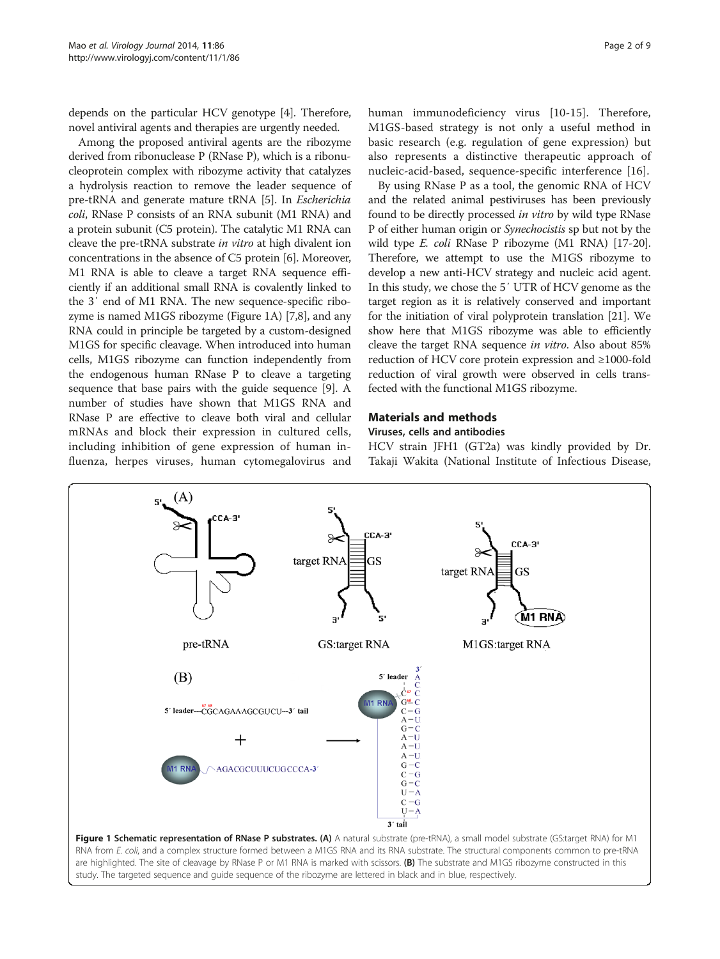depends on the particular HCV genotype [[4\]](#page-7-0). Therefore, novel antiviral agents and therapies are urgently needed.

Among the proposed antiviral agents are the ribozyme derived from ribonuclease P (RNase P), which is a ribonucleoprotein complex with ribozyme activity that catalyzes a hydrolysis reaction to remove the leader sequence of pre-tRNA and generate mature tRNA [\[5](#page-7-0)]. In Escherichia coli, RNase P consists of an RNA subunit (M1 RNA) and a protein subunit (C5 protein). The catalytic M1 RNA can cleave the pre-tRNA substrate in vitro at high divalent ion concentrations in the absence of C5 protein [\[6](#page-7-0)]. Moreover, M1 RNA is able to cleave a target RNA sequence efficiently if an additional small RNA is covalently linked to the 3′ end of M1 RNA. The new sequence-specific ribozyme is named M1GS ribozyme (Figure 1A) [\[7,8](#page-7-0)], and any RNA could in principle be targeted by a custom-designed M1GS for specific cleavage. When introduced into human cells, M1GS ribozyme can function independently from the endogenous human RNase P to cleave a targeting sequence that base pairs with the guide sequence [[9](#page-7-0)]. A number of studies have shown that M1GS RNA and RNase P are effective to cleave both viral and cellular mRNAs and block their expression in cultured cells, including inhibition of gene expression of human influenza, herpes viruses, human cytomegalovirus and

human immunodeficiency virus [[10](#page-7-0)-[15\]](#page-7-0). Therefore, M1GS-based strategy is not only a useful method in basic research (e.g. regulation of gene expression) but also represents a distinctive therapeutic approach of nucleic-acid-based, sequence-specific interference [[16\]](#page-7-0).

By using RNase P as a tool, the genomic RNA of HCV and the related animal pestiviruses has been previously found to be directly processed in vitro by wild type RNase P of either human origin or Synechocistis sp but not by the wild type E. coli RNase P ribozyme (M1 RNA) [[17](#page-7-0)-[20](#page-7-0)]. Therefore, we attempt to use the M1GS ribozyme to develop a new anti-HCV strategy and nucleic acid agent. In this study, we chose the 5′ UTR of HCV genome as the target region as it is relatively conserved and important for the initiation of viral polyprotein translation [\[21\]](#page-7-0). We show here that M1GS ribozyme was able to efficiently cleave the target RNA sequence in vitro. Also about 85% reduction of HCV core protein expression and ≥1000-fold reduction of viral growth were observed in cells transfected with the functional M1GS ribozyme.

#### Materials and methods

#### Viruses, cells and antibodies

HCV strain JFH1 (GT2a) was kindly provided by Dr. Takaji Wakita (National Institute of Infectious Disease,

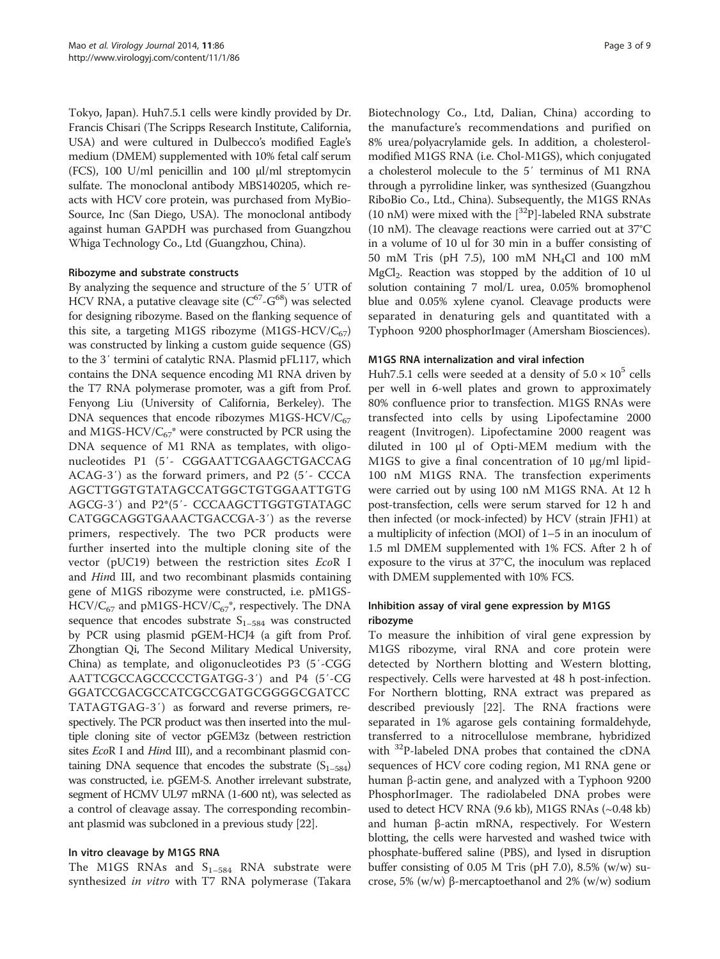Tokyo, Japan). Huh7.5.1 cells were kindly provided by Dr. Francis Chisari (The Scripps Research Institute, California, USA) and were cultured in Dulbecco's modified Eagle's medium (DMEM) supplemented with 10% fetal calf serum (FCS), 100 U/ml penicillin and 100 μl/ml streptomycin sulfate. The monoclonal antibody MBS140205, which reacts with HCV core protein, was purchased from MyBio-Source, Inc (San Diego, USA). The monoclonal antibody against human GAPDH was purchased from Guangzhou Whiga Technology Co., Ltd (Guangzhou, China).

#### Ribozyme and substrate constructs

By analyzing the sequence and structure of the 5′ UTR of HCV RNA, a putative cleavage site  $(C^{67} - G^{68})$  was selected for designing ribozyme. Based on the flanking sequence of this site, a targeting M1GS ribozyme (M1GS-HCV/ $C_{67}$ ) was constructed by linking a custom guide sequence (GS) to the 3′ termini of catalytic RNA. Plasmid pFL117, which contains the DNA sequence encoding M1 RNA driven by the T7 RNA polymerase promoter, was a gift from Prof. Fenyong Liu (University of California, Berkeley). The DNA sequences that encode ribozymes M1GS-HCV/ $C_{67}$ and M1GS-HCV/ $C_{67}$ <sup>\*</sup> were constructed by PCR using the DNA sequence of M1 RNA as templates, with oligonucleotides P1 (5′- CGGAATTCGAAGCTGACCAG ACAG-3′) as the forward primers, and P2 (5′- CCCA AGCTTGGTGTATAGCCATGGCTGTGGAATTGTG AGCG-3′) and P2\*(5′- CCCAAGCTTGGTGTATAGC CATGGCAGGTGAAACTGACCGA-3′) as the reverse primers, respectively. The two PCR products were further inserted into the multiple cloning site of the vector (pUC19) between the restriction sites EcoR I and Hind III, and two recombinant plasmids containing gene of M1GS ribozyme were constructed, i.e. pM1GS- $HCV/C_{67}$  and pM1GS-HCV/ $C_{67}^*$ , respectively. The DNA sequence that encodes substrate  $S_{1-584}$  was constructed by PCR using plasmid pGEM-HCJ4 (a gift from Prof. Zhongtian Qi, The Second Military Medical University, China) as template, and oligonucleotides P3 (5′-CGG AATTCGCCAGCCCCCTGATGG-3′) and P4 (5′-CG GGATCCGACGCCATCGCCGATGCGGGGCGATCC TATAGTGAG-3′) as forward and reverse primers, respectively. The PCR product was then inserted into the multiple cloning site of vector pGEM3z (between restriction sites *EcoR I* and *Hind III*), and a recombinant plasmid containing DNA sequence that encodes the substrate  $(S_{1-584})$ was constructed, i.e. pGEM-S. Another irrelevant substrate, segment of HCMV UL97 mRNA (1-600 nt), was selected as a control of cleavage assay. The corresponding recombinant plasmid was subcloned in a previous study [\[22\]](#page-7-0).

#### In vitro cleavage by M1GS RNA

The M1GS RNAs and  $S_{1-584}$  RNA substrate were synthesized in vitro with T7 RNA polymerase (Takara

Biotechnology Co., Ltd, Dalian, China) according to the manufacture's recommendations and purified on 8% urea/polyacrylamide gels. In addition, a cholesterolmodified M1GS RNA (i.e. Chol-M1GS), which conjugated a cholesterol molecule to the 5′ terminus of M1 RNA through a pyrrolidine linker, was synthesized (Guangzhou RiboBio Co., Ltd., China). Subsequently, the M1GS RNAs (10 nM) were mixed with the  $\left[^{32}P\right]$ -labeled RNA substrate (10 nM). The cleavage reactions were carried out at 37°C in a volume of 10 ul for 30 min in a buffer consisting of 50 mM Tris (pH 7.5), 100 mM NH4Cl and 100 mM MgCl<sub>2</sub>. Reaction was stopped by the addition of 10 ul solution containing 7 mol/L urea, 0.05% bromophenol blue and 0.05% xylene cyanol. Cleavage products were separated in denaturing gels and quantitated with a Typhoon 9200 phosphorImager (Amersham Biosciences).

# M1GS RNA internalization and viral infection

Huh7.5.1 cells were seeded at a density of  $5.0 \times 10^5$  cells per well in 6-well plates and grown to approximately 80% confluence prior to transfection. M1GS RNAs were transfected into cells by using Lipofectamine 2000 reagent (Invitrogen). Lipofectamine 2000 reagent was diluted in 100 μl of Opti-MEM medium with the M1GS to give a final concentration of 10 μg/ml lipid-100 nM M1GS RNA. The transfection experiments were carried out by using 100 nM M1GS RNA. At 12 h post-transfection, cells were serum starved for 12 h and then infected (or mock-infected) by HCV (strain JFH1) at a multiplicity of infection (MOI) of 1–5 in an inoculum of 1.5 ml DMEM supplemented with 1% FCS. After 2 h of exposure to the virus at 37°C, the inoculum was replaced with DMEM supplemented with 10% FCS.

# Inhibition assay of viral gene expression by M1GS ribozyme

To measure the inhibition of viral gene expression by M1GS ribozyme, viral RNA and core protein were detected by Northern blotting and Western blotting, respectively. Cells were harvested at 48 h post-infection. For Northern blotting, RNA extract was prepared as described previously [[22\]](#page-7-0). The RNA fractions were separated in 1% agarose gels containing formaldehyde, transferred to a nitrocellulose membrane, hybridized with <sup>32</sup>P-labeled DNA probes that contained the cDNA sequences of HCV core coding region, M1 RNA gene or human β-actin gene, and analyzed with a Typhoon 9200 PhosphorImager. The radiolabeled DNA probes were used to detect HCV RNA (9.6 kb), M1GS RNAs (~0.48 kb) and human β-actin mRNA, respectively. For Western blotting, the cells were harvested and washed twice with phosphate-buffered saline (PBS), and lysed in disruption buffer consisting of 0.05 M Tris (pH 7.0), 8.5% (w/w) sucrose, 5% (w/w) β-mercaptoethanol and 2% (w/w) sodium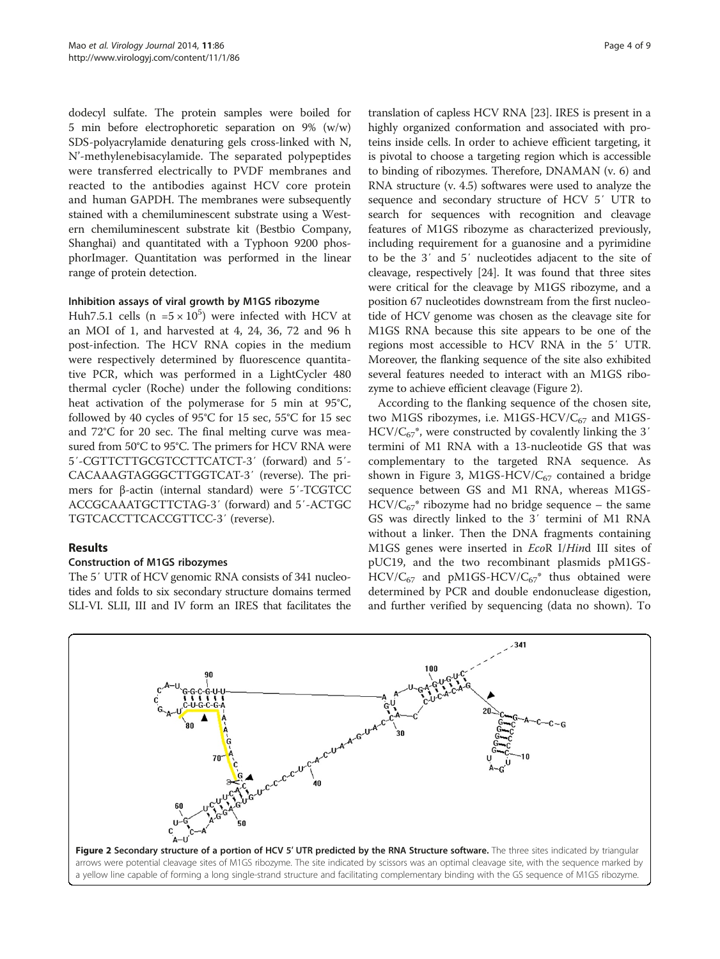<span id="page-3-0"></span>dodecyl sulfate. The protein samples were boiled for 5 min before electrophoretic separation on 9% (w/w) SDS-polyacrylamide denaturing gels cross-linked with N, N'-methylenebisacylamide. The separated polypeptides were transferred electrically to PVDF membranes and reacted to the antibodies against HCV core protein and human GAPDH. The membranes were subsequently stained with a chemiluminescent substrate using a Western chemiluminescent substrate kit (Bestbio Company, Shanghai) and quantitated with a Typhoon 9200 phosphorImager. Quantitation was performed in the linear range of protein detection.

# Inhibition assays of viral growth by M1GS ribozyme

Huh7.5.1 cells ( $n = 5 \times 10^5$ ) were infected with HCV at an MOI of 1, and harvested at 4, 24, 36, 72 and 96 h post-infection. The HCV RNA copies in the medium were respectively determined by fluorescence quantitative PCR, which was performed in a LightCycler 480 thermal cycler (Roche) under the following conditions: heat activation of the polymerase for 5 min at 95°C, followed by 40 cycles of 95°C for 15 sec, 55°C for 15 sec and 72°C for 20 sec. The final melting curve was measured from 50°C to 95°C. The primers for HCV RNA were 5′-CGTTCTTGCGTCCTTCATCT-3′ (forward) and 5′- CACAAAGTAGGGCTTGGTCAT-3′ (reverse). The primers for β-actin (internal standard) were 5′-TCGTCC ACCGCAAATGCTTCTAG-3′ (forward) and 5′-ACTGC TGTCACCTTCACCGTTCC-3′ (reverse).

# Results

# Construction of M1GS ribozymes

The 5′ UTR of HCV genomic RNA consists of 341 nucleotides and folds to six secondary structure domains termed SLI-VI. SLII, III and IV form an IRES that facilitates the translation of capless HCV RNA [[23\]](#page-7-0). IRES is present in a highly organized conformation and associated with proteins inside cells. In order to achieve efficient targeting, it is pivotal to choose a targeting region which is accessible to binding of ribozymes. Therefore, DNAMAN (v. 6) and RNA structure (v. 4.5) softwares were used to analyze the sequence and secondary structure of HCV 5′ UTR to search for sequences with recognition and cleavage features of M1GS ribozyme as characterized previously, including requirement for a guanosine and a pyrimidine to be the 3′ and 5′ nucleotides adjacent to the site of cleavage, respectively [\[24](#page-7-0)]. It was found that three sites were critical for the cleavage by M1GS ribozyme, and a position 67 nucleotides downstream from the first nucleotide of HCV genome was chosen as the cleavage site for M1GS RNA because this site appears to be one of the regions most accessible to HCV RNA in the 5′ UTR. Moreover, the flanking sequence of the site also exhibited several features needed to interact with an M1GS ribozyme to achieve efficient cleavage (Figure 2).

According to the flanking sequence of the chosen site, two M1GS ribozymes, i.e. M1GS-HCV/ $C_{67}$  and M1GS- $HCV/C_{67}^*$ , were constructed by covalently linking the 3' termini of M1 RNA with a 13-nucleotide GS that was complementary to the targeted RNA sequence. As shown in Figure [3,](#page-4-0) M1GS-HCV/ $C_{67}$  contained a bridge sequence between GS and M1 RNA, whereas M1GS- $HCV/C_{67}^*$  ribozyme had no bridge sequence – the same GS was directly linked to the 3′ termini of M1 RNA without a linker. Then the DNA fragments containing M1GS genes were inserted in EcoR I/Hind III sites of pUC19, and the two recombinant plasmids pM1GS- $HCV/C_{67}$  and pM1GS-HCV/ $C_{67}$ <sup>\*</sup> thus obtained were determined by PCR and double endonuclease digestion, and further verified by sequencing (data no shown). To

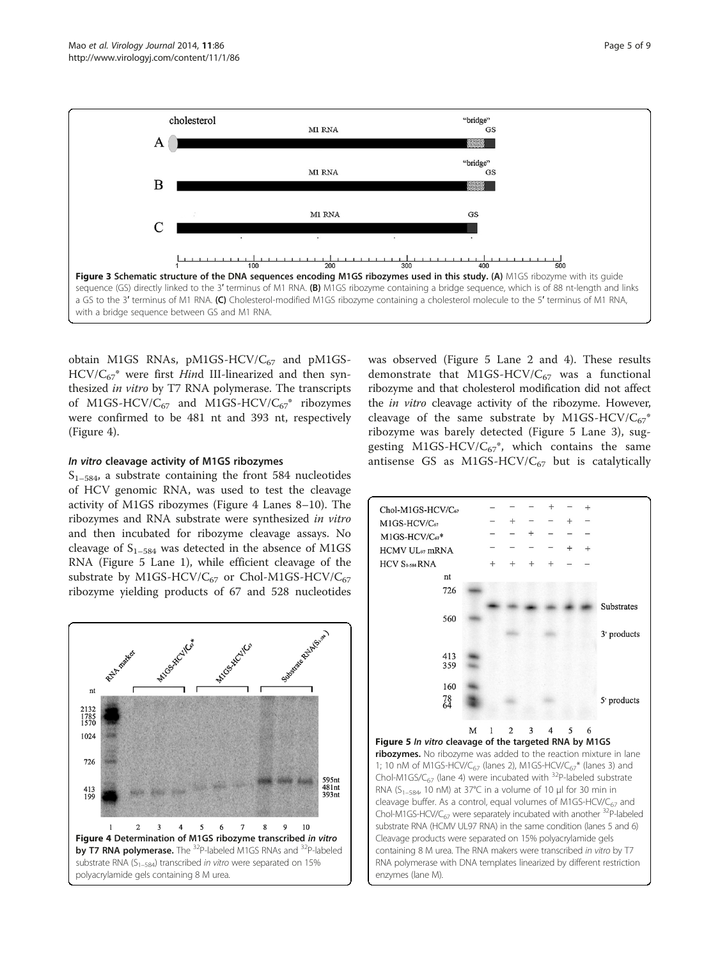<span id="page-4-0"></span>

obtain M1GS RNAs, pM1GS-HCV/ $C_{67}$  and pM1GS- $HCV/C_{67}^*$  were first Hind III-linearized and then synthesized in vitro by T7 RNA polymerase. The transcripts of M1GS-HCV/ $C_{67}$  and M1GS-HCV/ $C_{67}^*$  ribozymes were confirmed to be 481 nt and 393 nt, respectively (Figure 4).

#### In vitro cleavage activity of M1GS ribozymes

 $S<sub>1–584</sub>$ , a substrate containing the front 584 nucleotides of HCV genomic RNA, was used to test the cleavage activity of M1GS ribozymes (Figure 4 Lanes 8–10). The ribozymes and RNA substrate were synthesized in vitro and then incubated for ribozyme cleavage assays. No cleavage of  $S_{1-584}$  was detected in the absence of M1GS RNA (Figure 5 Lane 1), while efficient cleavage of the substrate by M1GS-HCV/ $C_{67}$  or Chol-M1GS-HCV/ $C_{67}$ ribozyme yielding products of 67 and 528 nucleotides



was observed (Figure 5 Lane 2 and 4). These results demonstrate that M1GS-HCV/ $C_{67}$  was a functional ribozyme and that cholesterol modification did not affect the *in vitro* cleavage activity of the ribozyme. However, cleavage of the same substrate by M1GS-HCV/ $C_{67}^*$ ribozyme was barely detected (Figure 5 Lane 3), suggesting M1GS-HCV/ $C_{67}^*$ , which contains the same antisense GS as M1GS-HCV/ $C_{67}$  but is catalytically

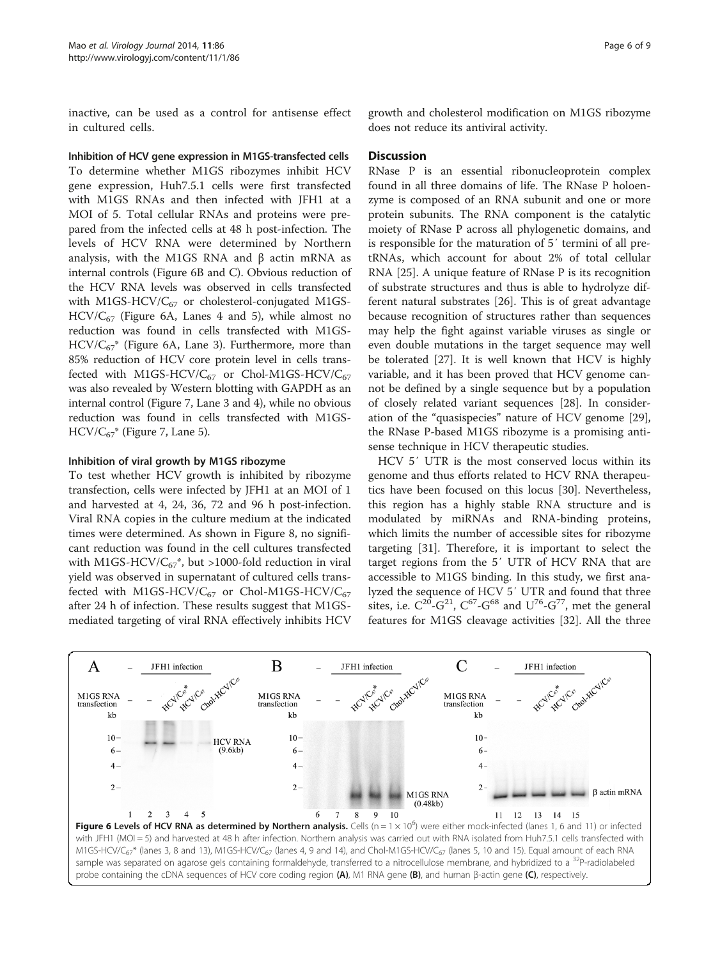<span id="page-5-0"></span>inactive, can be used as a control for antisense effect in cultured cells.

Inhibition of HCV gene expression in M1GS-transfected cells To determine whether M1GS ribozymes inhibit HCV gene expression, Huh7.5.1 cells were first transfected with M1GS RNAs and then infected with JFH1 at a MOI of 5. Total cellular RNAs and proteins were prepared from the infected cells at 48 h post-infection. The levels of HCV RNA were determined by Northern analysis, with the M1GS RNA and  $β$  actin mRNA as internal controls (Figure 6B and C). Obvious reduction of the HCV RNA levels was observed in cells transfected with M1GS-HCV/ $C_{67}$  or cholesterol-conjugated M1GS- $HCV/C_{67}$  (Figure 6A, Lanes 4 and 5), while almost no reduction was found in cells transfected with M1GS- $HCV/C_{67}^*$  (Figure 6A, Lane 3). Furthermore, more than 85% reduction of HCV core protein level in cells transfected with M1GS-HCV/ $C_{67}$  or Chol-M1GS-HCV/ $C_{67}$ was also revealed by Western blotting with GAPDH as an internal control (Figure [7,](#page-6-0) Lane 3 and 4), while no obvious reduction was found in cells transfected with M1GS- $HCV/C_{67}$ <sup>\*</sup> (Figure [7,](#page-6-0) Lane 5).

# Inhibition of viral growth by M1GS ribozyme

To test whether HCV growth is inhibited by ribozyme transfection, cells were infected by JFH1 at an MOI of 1 and harvested at 4, 24, 36, 72 and 96 h post-infection. Viral RNA copies in the culture medium at the indicated times were determined. As shown in Figure [8,](#page-6-0) no significant reduction was found in the cell cultures transfected with M1GS-HCV/ $C_{67}^*$ , but >1000-fold reduction in viral yield was observed in supernatant of cultured cells transfected with M1GS-HCV/ $C_{67}$  or Chol-M1GS-HCV/ $C_{67}$ after 24 h of infection. These results suggest that M1GSmediated targeting of viral RNA effectively inhibits HCV

# **Discussion**

RNase P is an essential ribonucleoprotein complex found in all three domains of life. The RNase P holoenzyme is composed of an RNA subunit and one or more protein subunits. The RNA component is the catalytic moiety of RNase P across all phylogenetic domains, and is responsible for the maturation of 5′ termini of all pretRNAs, which account for about 2% of total cellular RNA [\[25](#page-7-0)]. A unique feature of RNase P is its recognition of substrate structures and thus is able to hydrolyze different natural substrates [\[26\]](#page-7-0). This is of great advantage because recognition of structures rather than sequences may help the fight against variable viruses as single or even double mutations in the target sequence may well be tolerated [\[27](#page-7-0)]. It is well known that HCV is highly variable, and it has been proved that HCV genome cannot be defined by a single sequence but by a population of closely related variant sequences [\[28](#page-7-0)]. In consideration of the "quasispecies" nature of HCV genome [\[29](#page-7-0)], the RNase P-based M1GS ribozyme is a promising antisense technique in HCV therapeutic studies.

HCV 5′ UTR is the most conserved locus within its genome and thus efforts related to HCV RNA therapeutics have been focused on this locus [\[30\]](#page-7-0). Nevertheless, this region has a highly stable RNA structure and is modulated by miRNAs and RNA-binding proteins, which limits the number of accessible sites for ribozyme targeting [\[31\]](#page-7-0). Therefore, it is important to select the target regions from the 5′ UTR of HCV RNA that are accessible to M1GS binding. In this study, we first analyzed the sequence of HCV 5′ UTR and found that three sites, i.e.  $C^{20}$ - $G^{21}$ ,  $C^{67}$ - $G^{68}$  and  $U^{76}$ - $G^{77}$ , met the general features for M1GS cleavage activities [\[32\]](#page-7-0). All the three

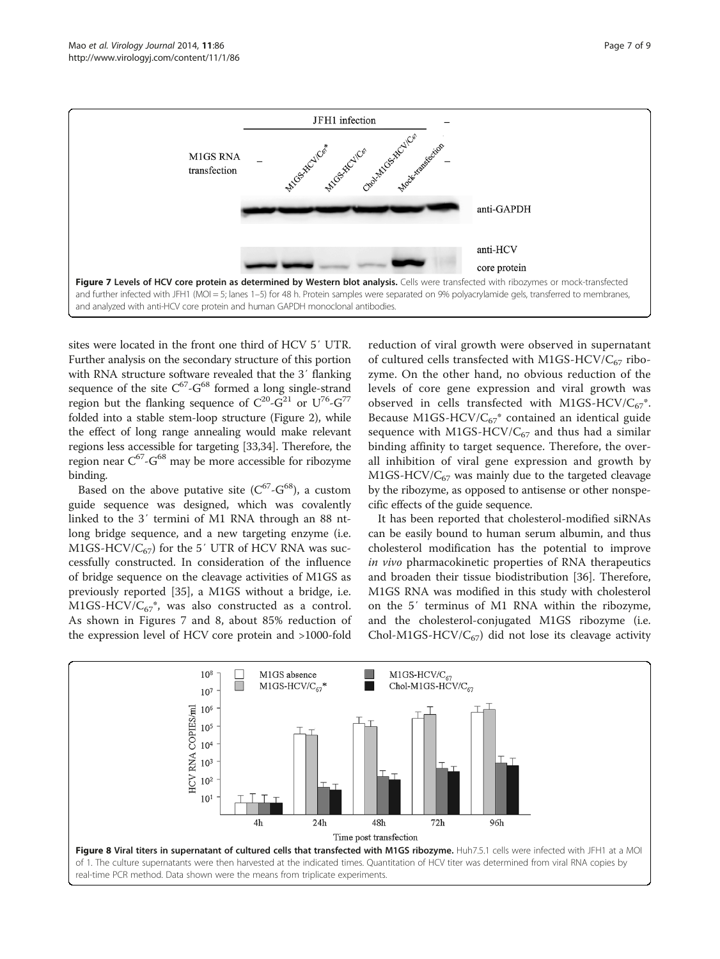<span id="page-6-0"></span>

sites were located in the front one third of HCV 5′ UTR. Further analysis on the secondary structure of this portion with RNA structure software revealed that the 3′ flanking sequence of the site  $C^{67}$ - $G^{68}$  formed a long single-strand region but the flanking sequence of  $C^{20}$ - $G^{21}$  or  $U^{76}$ - $G^{77}$ folded into a stable stem-loop structure (Figure [2](#page-3-0)), while the effect of long range annealing would make relevant regions less accessible for targeting [[33,34](#page-7-0)]. Therefore, the region near  $C^{67}$ -G<sup>68</sup> may be more accessible for ribozyme binding.

Based on the above putative site  $(C^{67}$ - $G^{68}$ ), a custom guide sequence was designed, which was covalently linked to the 3′ termini of M1 RNA through an 88 ntlong bridge sequence, and a new targeting enzyme (i.e. M1GS-HCV/ $C_{67}$ ) for the 5' UTR of HCV RNA was successfully constructed. In consideration of the influence of bridge sequence on the cleavage activities of M1GS as previously reported [[35\]](#page-8-0), a M1GS without a bridge, i.e. M1GS-HCV/ $C_{67}^*$ , was also constructed as a control. As shown in Figures 7 and 8, about 85% reduction of the expression level of HCV core protein and >1000-fold

reduction of viral growth were observed in supernatant of cultured cells transfected with M1GS-HCV/ $C_{67}$  ribozyme. On the other hand, no obvious reduction of the levels of core gene expression and viral growth was observed in cells transfected with M1GS-HCV/ $C_{67}^*$ . Because M1GS-HCV/ $C_{67}^*$  contained an identical guide sequence with M1GS-HCV/ $C_{67}$  and thus had a similar binding affinity to target sequence. Therefore, the overall inhibition of viral gene expression and growth by  $M1GS-HCV/C<sub>67</sub>$  was mainly due to the targeted cleavage by the ribozyme, as opposed to antisense or other nonspecific effects of the guide sequence.

It has been reported that cholesterol-modified siRNAs can be easily bound to human serum albumin, and thus cholesterol modification has the potential to improve in vivo pharmacokinetic properties of RNA therapeutics and broaden their tissue biodistribution [\[36](#page-8-0)]. Therefore, M1GS RNA was modified in this study with cholesterol on the 5′ terminus of M1 RNA within the ribozyme, and the cholesterol-conjugated M1GS ribozyme (i.e. Chol-M1GS-HCV/ $C_{67}$ ) did not lose its cleavage activity

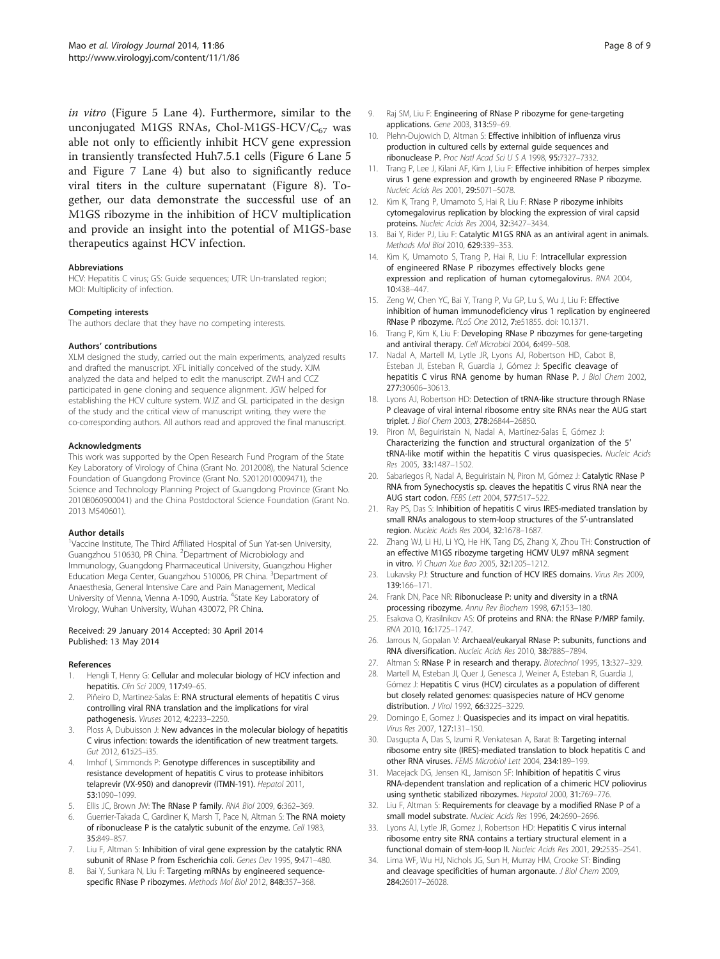<span id="page-7-0"></span>in vitro (Figure [5](#page-4-0) Lane 4). Furthermore, similar to the unconjugated M1GS RNAs, Chol-M1GS-HCV/ $C_{67}$  was able not only to efficiently inhibit HCV gene expression in transiently transfected Huh7.5.1 cells (Figure [6](#page-5-0) Lane 5 and Figure [7](#page-6-0) Lane 4) but also to significantly reduce viral titers in the culture supernatant (Figure [8\)](#page-6-0). Together, our data demonstrate the successful use of an M1GS ribozyme in the inhibition of HCV multiplication and provide an insight into the potential of M1GS-base therapeutics against HCV infection.

#### Abbreviations

HCV: Hepatitis C virus; GS: Guide sequences; UTR: Un-translated region; MOI: Multiplicity of infection.

#### Competing interests

The authors declare that they have no competing interests.

#### Authors' contributions

XLM designed the study, carried out the main experiments, analyzed results and drafted the manuscript. XFL initially conceived of the study. XJM analyzed the data and helped to edit the manuscript. ZWH and CCZ participated in gene cloning and sequence alignment. JGW helped for establishing the HCV culture system. WJZ and GL participated in the design of the study and the critical view of manuscript writing, they were the co-corresponding authors. All authors read and approved the final manuscript.

#### Acknowledgments

This work was supported by the Open Research Fund Program of the State Key Laboratory of Virology of China (Grant No. 2012008), the Natural Science Foundation of Guangdong Province (Grant No. S2012010009471), the Science and Technology Planning Project of Guangdong Province (Grant No. 2010B060900041) and the China Postdoctoral Science Foundation (Grant No. 2013 M540601).

#### Author details

<sup>1</sup>Vaccine Institute, The Third Affiliated Hospital of Sun Yat-sen University, Guangzhou 510630, PR China. <sup>2</sup>Department of Microbiology and Immunology, Guangdong Pharmaceutical University, Guangzhou Higher Education Mega Center, Guangzhou 510006, PR China. <sup>3</sup>Department of Anaesthesia, General Intensive Care and Pain Management, Medical University of Vienna, Vienna A-1090, Austria. <sup>4</sup>State Key Laboratory of Virology, Wuhan University, Wuhan 430072, PR China.

#### Received: 29 January 2014 Accepted: 30 April 2014 Published: 13 May 2014

#### References

- Hengli T, Henry G: Cellular and molecular biology of HCV infection and hepatitis. Clin Sci 2009, 117:49-65.
- 2. Piñeiro D, Martinez-Salas E: RNA structural elements of hepatitis C virus controlling viral RNA translation and the implications for viral pathogenesis. Viruses 2012, 4:2233–2250.
- 3. Ploss A, Dubuisson J: New advances in the molecular biology of hepatitis C virus infection: towards the identification of new treatment targets. Gut 2012, 61:i25–i35.
- 4. Imhof I, Simmonds P: Genotype differences in susceptibility and resistance development of hepatitis C virus to protease inhibitors telaprevir (VX-950) and danoprevir (ITMN-191). Hepatol 2011, 53:1090–1099.
- 5. Ellis JC, Brown JW: The RNase P family. RNA Biol 2009, 6:362–369.
- Guerrier-Takada C, Gardiner K, Marsh T, Pace N, Altman S: The RNA moiety of ribonuclease P is the catalytic subunit of the enzyme. Cell 1983, 35:849–857.
- Liu F, Altman S: Inhibition of viral gene expression by the catalytic RNA subunit of RNase P from Escherichia coli. Genes Dev 1995, 9:471–480.
- 8. Bai Y, Sunkara N, Liu F: Targeting mRNAs by engineered sequencespecific RNase P ribozymes. Methods Mol Biol 2012, 848:357–368.
- Raj SM, Liu F: Engineering of RNase P ribozyme for gene-targeting applications. Gene 2003, 313:59–69.
- 10. Plehn-Dujowich D, Altman S: Effective inhibition of influenza virus production in cultured cells by external guide sequences and ribonuclease P. Proc Natl Acad Sci U S A 1998, 95:7327–7332.
- 11. Trang P, Lee J, Kilani AF, Kim J, Liu F: Effective inhibition of herpes simplex virus 1 gene expression and growth by engineered RNase P ribozyme. Nucleic Acids Res 2001, 29:5071–5078.
- 12. Kim K, Trang P, Umamoto S, Hai R, Liu F: RNase P ribozyme inhibits cytomegalovirus replication by blocking the expression of viral capsid proteins. Nucleic Acids Res 2004, 32:3427–3434.
- 13. Bai Y, Rider PJ, Liu F: Catalytic M1GS RNA as an antiviral agent in animals. Methods Mol Biol 2010, 629:339–353.
- 14. Kim K, Umamoto S, Trang P, Hai R, Liu F: Intracellular expression of engineered RNase P ribozymes effectively blocks gene expression and replication of human cytomegalovirus. RNA 2004, 10:438–447.
- 15. Zeng W, Chen YC, Bai Y, Trang P, Vu GP, Lu S, Wu J, Liu F: Effective inhibition of human immunodeficiency virus 1 replication by engineered RNase P ribozyme. PLoS One 2012, 7:e51855. doi: 10.1371.
- 16. Trang P, Kim K, Liu F: Developing RNase P ribozymes for gene-targeting and antiviral therapy. Cell Microbiol 2004, 6:499–508.
- 17. Nadal A, Martell M, Lytle JR, Lyons AJ, Robertson HD, Cabot B, Esteban JI, Esteban R, Guardia J, Gómez J: Specific cleavage of hepatitis C virus RNA genome by human RNase P. J Biol Chem 2002, 277:30606–30613.
- 18. Lyons AJ, Robertson HD: Detection of tRNA-like structure through RNase P cleavage of viral internal ribosome entry site RNAs near the AUG start triplet. J Biol Chem 2003, 278:26844–26850.
- 19. Piron M, Beguiristain N, Nadal A, Martínez-Salas E, Gómez J: Characterizing the function and structural organization of the 5′ tRNA-like motif within the hepatitis C virus quasispecies. Nucleic Acids Res 2005, 33:1487–1502.
- 20. Sabariegos R, Nadal A, Beguiristain N, Piron M, Gómez J: Catalytic RNase P RNA from Synechocystis sp. cleaves the hepatitis C virus RNA near the AUG start codon. FEBS Lett 2004, 577:517–522.
- 21. Ray PS, Das S: Inhibition of hepatitis C virus IRES-mediated translation by small RNAs analogous to stem-loop structures of the 5′-untranslated region. Nucleic Acids Res 2004, 32:1678–1687.
- 22. Zhang WJ, Li HJ, Li YQ, He HK, Tang DS, Zhang X, Zhou TH: Construction of an effective M1GS ribozyme targeting HCMV UL97 mRNA segment in vitro. Yi Chuan Xue Bao 2005, 32:1205–1212.
- 23. Lukavsky PJ: Structure and function of HCV IRES domains. Virus Res 2009, 139:166–171.
- 24. Frank DN, Pace NR: Ribonuclease P: unity and diversity in a tRNA processing ribozyme. Annu Rev Biochem 1998, 67:153–180.
- 25. Esakova O, Krasilnikov AS: Of proteins and RNA: the RNase P/MRP family. RNA 2010, 16:1725–1747.
- 26. Jarrous N, Gopalan V: Archaeal/eukaryal RNase P: subunits, functions and RNA diversification. Nucleic Acids Res 2010, 38:7885–7894.
- 27. Altman S: RNase P in research and therapy. Biotechnol 1995, 13:327-329.
- 28. Martell M, Esteban JI, Quer J, Genesca J, Weiner A, Esteban R, Guardia J, Gómez J: Hepatitis C virus (HCV) circulates as a population of different but closely related genomes: quasispecies nature of HCV genome distribution. J Virol 1992, 66:3225–3229.
- 29. Domingo E, Gomez J: Quasispecies and its impact on viral hepatitis. Virus Res 2007, 127:131–150.
- 30. Dasgupta A, Das S, Izumi R, Venkatesan A, Barat B: Targeting internal ribosome entry site (IRES)-mediated translation to block hepatitis C and other RNA viruses. FEMS Microbiol Lett 2004, 234:189–199.
- 31. Macejack DG, Jensen KL, Jamison SF: Inhibition of hepatitis C virus RNA-dependent translation and replication of a chimeric HCV poliovirus using synthetic stabilized ribozymes. Hepatol 2000, 31:769–776.
- 32. Liu F, Altman S: Requirements for cleavage by a modified RNase P of a small model substrate. Nucleic Acids Res 1996, 24:2690–2696.
- 33. Lyons AJ, Lytle JR, Gomez J, Robertson HD: Hepatitis C virus internal ribosome entry site RNA contains a tertiary structural element in a functional domain of stem-loop II. Nucleic Acids Res 2001, 29:2535–2541.
- 34. Lima WF, Wu HJ, Nichols JG, Sun H, Murray HM, Crooke ST: Binding and cleavage specificities of human argonaute. J Biol Chem 2009, 284:26017–26028.